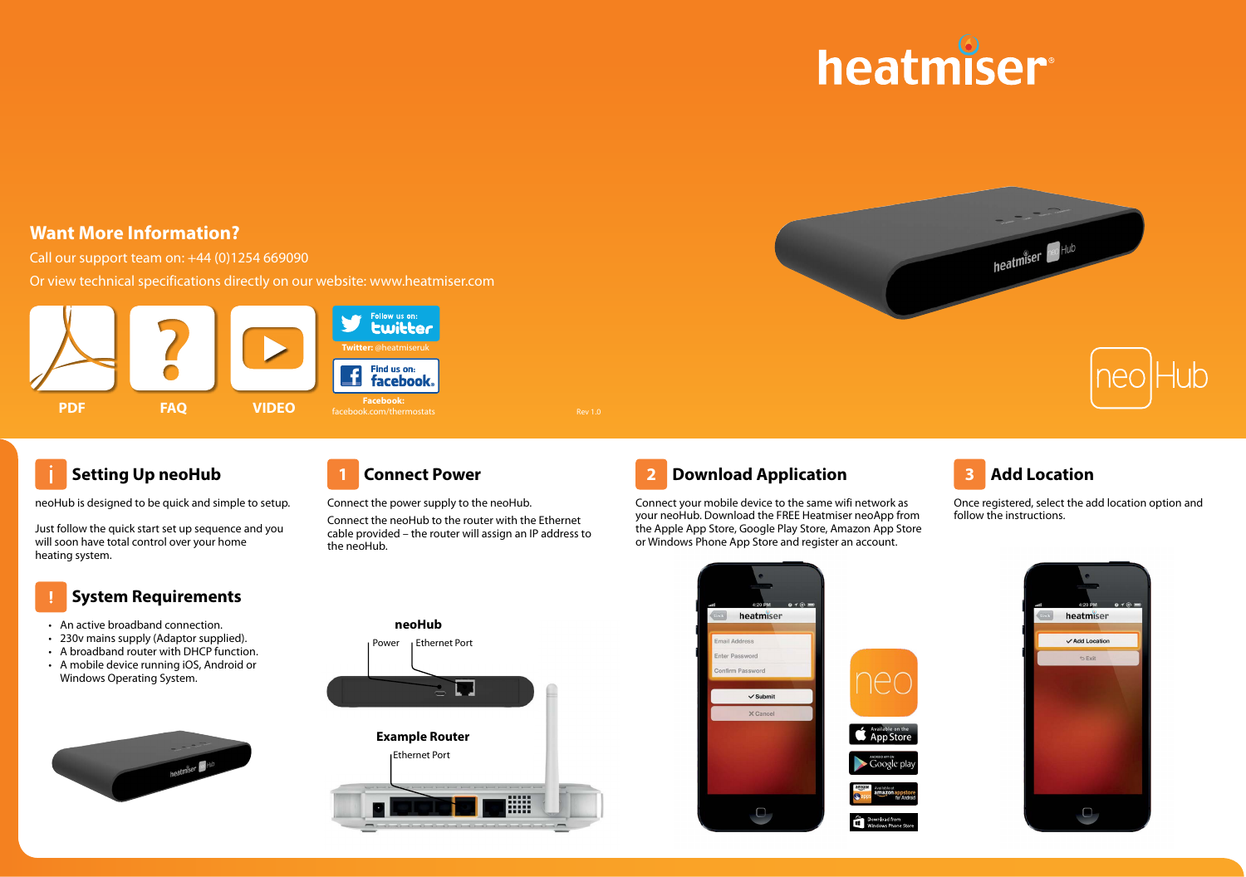



# **Want More Information?**

Call our support team on: +44 (0)1254 669090

Or view technical specifications directly on our website: www.heatmiser.com





## **Setting Up neoHub**

neoHub is designed to be quick and simple to setup.

Just follow the quick start set up sequence and you will soon have total control over your home heating system.

### **System Requirements**

- An active broadband connection.
- 230v mains supply (Adaptor supplied).
- A broadband router with DHCP function.
- A mobile device running iOS, Android or Windows Operating System.



Ethernet Port

**Example Router**

**neoHub** Power **Ethernet Port** 

Connect the power supply to the neoHub. Connect the neoHub to the router with the Ethernet cable provided – the router will assign an IP address to the neoHub.

E



Connect your mobile device to the same wifi network as your neoHub. Download the FREE Heatmiser neoApp from the Apple App Store, Google Play Store, Amazon App Store or Windows Phone App Store and register an account.



Once registered, select the add location option and follow the instructions.